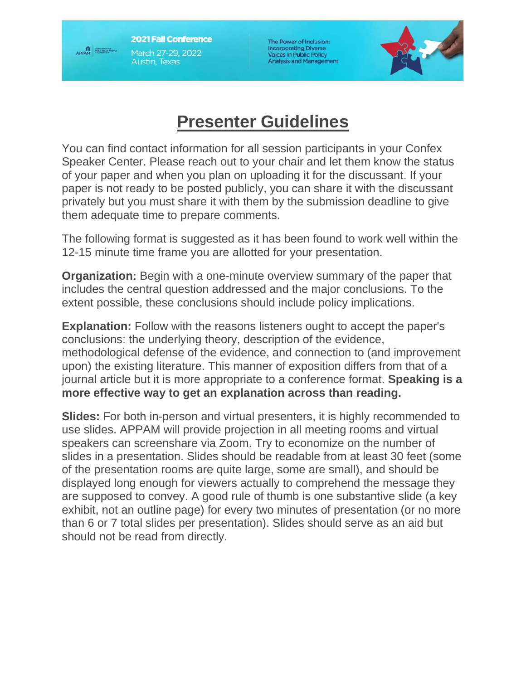**2021 Fall Conference** March 27-29, 2022 Austin, Texas

APPAM

The Power of Inclusion: **Incorporating Diverse Voices in Public Policy Analysis and Management** 



## **Presenter Guidelines**

You can find contact information for all session participants in your Confex Speaker Center. Please reach out to your chair and let them know the status of your paper and when you plan on uploading it for the discussant. If your paper is not ready to be posted publicly, you can share it with the discussant privately but you must share it with them by the submission deadline to give them adequate time to prepare comments.

The following format is suggested as it has been found to work well within the 12-15 minute time frame you are allotted for your presentation.

**Organization:** Begin with a one-minute overview summary of the paper that includes the central question addressed and the major conclusions. To the extent possible, these conclusions should include policy implications.

**Explanation:** Follow with the reasons listeners ought to accept the paper's conclusions: the underlying theory, description of the evidence, methodological defense of the evidence, and connection to (and improvement upon) the existing literature. This manner of exposition differs from that of a journal article but it is more appropriate to a conference format. **Speaking is a more effective way to get an explanation across than reading.**

**Slides:** For both in-person and virtual presenters, it is highly recommended to use slides. APPAM will provide projection in all meeting rooms and virtual speakers can screenshare via Zoom. Try to economize on the number of slides in a presentation. Slides should be readable from at least 30 feet (some of the presentation rooms are quite large, some are small), and should be displayed long enough for viewers actually to comprehend the message they are supposed to convey. A good rule of thumb is one substantive slide (a key exhibit, not an outline page) for every two minutes of presentation (or no more than 6 or 7 total slides per presentation). Slides should serve as an aid but should not be read from directly.